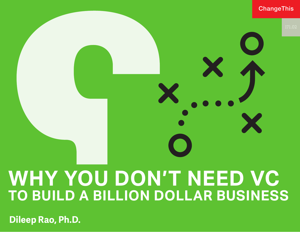ChangeThis

# **WHY YOU DON'T NEED VC TO BUILD A BILLION DOLLAR BUSINESS**

**Dileep Rao, Ph.D.**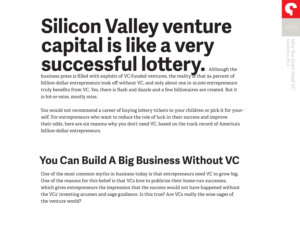## **Silicon Valley venture capital is like a very**  successful lottery.

business press is filled with exploits of VC-funded ventures, the reality is that 94 percent of billion-dollar entrepreneurs took off without VC, and only about one in 10,000 entrepreneurs truly benefits from VC. Yes, there is flash and dazzle and a few billionaires are created. But it is hit-or-miss, mostly miss.

You would not recommend a career of buying lottery tickets to your children or pick it for yourself. For entrepreneurs who want to reduce the role of luck in their success and improve their odds, here are six reasons why you don't need VC, based on the track record of America's billion-dollar entrepreneurs.

## **You Can Build A Big Business Without VC**

One of the most common myths in business today is that entrepreneurs need VC to grow big. One of the reasons for this belief is that VCs love to publicize their home-run successes, which gives entrepreneurs the impression that the success would not have happened without the VCs' investing acumen and sage guidance. Is this true? Are VCs really the wise sages of the venture world?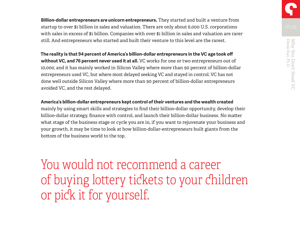**Billion-dollar entrepreneurs are unicorn entrepreneurs.** They started and built a venture from startup to over \$1 billion in sales and valuation. There are only about 6,000 U.S. corporations with sales in excess of \$1 billion. Companies with over \$1 billion in sales and valuation are rarer still. And entrepreneurs who started and built their venture to this level are the rarest.

**The reality is that 94 percent of America's billion-dollar entrepreneurs in the VC age took off without VC, and 76 percent never used it at all.** VC works for one or two entrepreneurs out of 10,000, and it has mainly worked in Silicon Valley where more than 90 percent of billion-dollar entrepreneurs used VC, but where most delayed seeking VC and stayed in control. VC has not done well outside Silicon Valley where more than 90 percent of billion-dollar entrepreneurs avoided VC, and the rest delayed.

#### **America's billion-dollar entrepreneurs kept control of their ventures and the wealth created**

mainly by using smart skills and strategies to find their billion-dollar opportunity, develop their billion-dollar strategy, finance with control, and launch their billion-dollar business. No matter what stage of the business stage or cycle you are in, if you want to rejuvenate your business and your growth, it may be time to look at how billion-dollar-entrepreneurs built giants from the bottom of the business world to the top.

You would not recommend a career of buying lottery tickets to your children or pick it for yourself.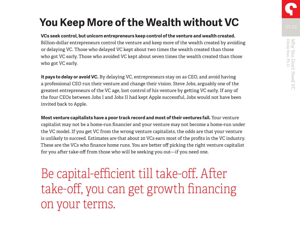### **You Keep More of the Wealth without VC**

**VCs seek control, but unicorn entrepreneurs keep control of the venture and wealth created.** Billion-dollar entrepreneurs control the venture and keep more of the wealth created by avoiding or delaying VC. Those who delayed VC kept about two times the wealth created than those who got VC early. Those who avoided VC kept about seven times the wealth created than those who got VC early.

**It pays to delay or avoid VC.** By delaying VC, entrepreneurs stay on as CEO, and avoid having a professional CEO run their venture and change their vision. Steve Jobs, arguably one of the greatest entrepreneurs of the VC age, lost control of his venture by getting VC early. If any of the four CEOs between Jobs I and Jobs II had kept Apple successful, Jobs would not have been invited back to Apple.

**Most venture capitalists have a poor track record and most of their ventures fail.** Your venture capitalist may not be a home-run financier and your venture may not become a home-run under the VC model. If you get VC from the wrong venture capitalists, the odds are that your venture is unlikely to succeed. Estimates are that [about 20 VCs earn most of the profits](https://techcrunch.com/2012/09/30/why-angel-investors-dont-make-money-and-advice-for-people-who-are-going-to-become-angels-anyway/) in the VC industry. These are the VCs who finance home runs. You are better off picking the right venture capitalist for you after take-off from those who will be seeking you out—if you need one.

Be capital-efficient till take-off. After take-off, you can get growth financing on your terms.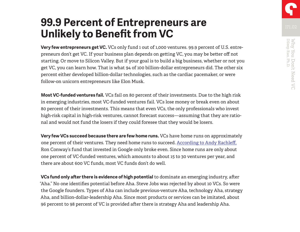### **99.9 Percent of Entrepreneurs are Unlikely to Benefit from VC**

**Very few entrepreneurs get VC.** VCs only fund 1 out of 1,000 ventures. 99.9 percent of U.S. entrepreneurs don't get VC. If your business plan depends on getting VC, you may be better off not starting. Or move to Silicon Valley. But if your goal is to build a big business, whether or not you get VC, you can learn how. That is what 94 of 100 billion-dollar entrepreneurs did. The other six percent either developed billion-dollar technologies, such as the cardiac pacemaker, or were follow-on unicorn entrepreneurs like Elon Musk.

**Most VC-funded ventures fail.** VCs fail on 80 percent of their investments. Due to the high risk in emerging industries, most VC-funded ventures fail. VCs lose money or break even on about 80 percent of their investments. This means that even VCs, the only professionals who invest high-risk capital in high-risk ventures, cannot forecast success—assuming that they are rational and would not fund the losers if they could foresee that they would be losers.

**Very few VCs succeed because there are few home runs.** VCs have home runs on approximately one percent of their ventures. They need home runs to succeed. [According to Andy Rachleff,](https://techcrunch.com/2012/09/30/why-angel-investors-dont-make-money-and-advice-for-people-who-are-going-to-become-angels-anyway/) Ron Conway's fund that invested in Google only broke even. Since home runs are only about one percent of VC-funded ventures, which amounts to about 15 to 30 ventures per year, and there are about 600 VC funds, most VC funds don't do well.

**VCs fund only after there is evidence of high potential** to dominate an emerging industry, after "Aha." No one identifies potential before Aha. Steve Jobs was rejected by about 10 VCs. So were the Google founders. Types of Aha can include previous-venture Aha, technology Aha, strategy Aha, and billion-dollar-leadership Aha. Since most products or services can be imitated, about 96 percent to 98 percent of VC is provided after there is strategy Aha and leadership Aha.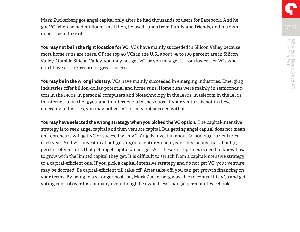Mark Zuckerberg got angel capital only after he had thousands of users for Facebook. And he got VC when he had millions. Until then, he used funds from family and friends, and his own expertise to take off.

**You may not be in the right location for VC.** VCs have mainly succeeded in Silicon Valley because most home runs are there. Of the top 50 VCs in the U.S., about 98 to 100 percent are in Silicon Valley. Outside Silicon Valley, you may not get VC, or you may get it from lower-tier VCs who don't have a track record of great success.

**You may be in the wrong industry.** VCs have mainly succeeded in emerging industries. Emerging industries offer billion-dollar-potential and home runs. Home runs were mainly in semiconductors in the 1960s, in personal computers and biotechnology in the 1970s, in telecom in the 1980s, in Internet 1.0 in the 1990s, and in Internet 2.0 in the 2000s. If your venture is not in these emerging industries, you may not get VC or may not succeed with it.

**You may have selected the wrong strategy when you picked the VC option.** The capital-intensive strategy is to seek angel capital and then venture capital. But getting angel capital does not mean entrepreneurs will get VC or succeed with VC. Angels invest in about 60,000-70,000 ventures each year. And VCs invest in about 3,000-4,000 ventures each year. This means that about 95 percent of ventures that get angel capital do not get VC. These entrepreneurs need to know how to grow with the limited capital they get. It is difficult to switch from a capital-intensive strategy to a capital-efficient one. If you pick a capital-intensive strategy and do not get VC, your venture may be doomed. Be capital-efficient till take-off. After take-off, you can get growth financing on your terms. By being in a stronger position, Mark Zuckerberg was able to control his VCs and get voting control over his company even though he owned less than 30 percent of Facebook.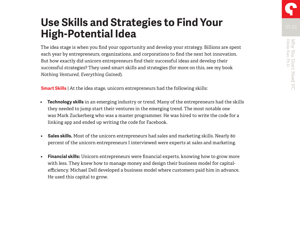Dileep Rao, Ph.D. Why You Don't Need VC

Why You Don't Need VC<br>Dileep Rao, Ph.D.

### **Use Skills and Strategies to Find Your High-Potential Idea**

The idea stage is when you find your opportunity and develop your strategy. Billions are spent each year by entrepreneurs, organizations, and corporations to find the next hot innovation. But how exactly did unicorn entrepreneurs find their successful ideas and develop their successful strategies? They used smart skills and strategies (for more on this, see my book *Nothing Ventured, Everything Gained*).

**Smart Skills** | At the idea stage, unicorn entrepreneurs had the following skills:

- **• Technology skills** in an emerging industry or trend. Many of the entrepreneurs had the skills they needed to jump start their ventures in the emerging trend. The most notable one was Mark Zuckerberg who was a master programmer. He was hired to write the code for a linking app and ended up writing the code for Facebook.
- **• Sales skills.** Most of the unicorn entrepreneurs had sales and marketing skills. Nearly 80 percent of the unicorn entrepreneurs I interviewed were experts at sales and marketing.
- **• Financial skills:** Unicorn entrepreneurs were financial experts, knowing how to grow more with less. They knew how to manage money and design their business model for capitalefficiency. Michael Dell developed a business model where customers paid him in advance. He used this capital to grow.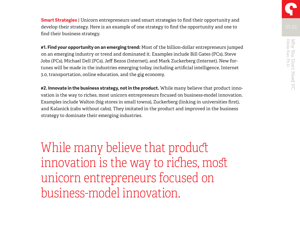**Smart Strategies** | Unicorn entrepreneurs used smart strategies to find their opportunity and develop their strategy. Here is an example of one strategy to find the opportunity and one to find their business strategy.

**#1. Find your opportunity on an emerging trend:** Most of the billion-dollar entrepreneurs jumped on an emerging industry or trend and dominated it. Examples include Bill Gates (PCs), Steve Jobs (PCs), Michael Dell (PCs), Jeff Bezos (Internet), and Mark Zuckerberg (Internet). New fortunes will be made in the industries emerging today, including artificial intelligence, Internet 3.0, transportation, online education, and the gig economy.

**#2. Innovate in the business strategy, not in the product.** While many believe that product innovation is the way to riches, most unicorn entrepreneurs focused on business-model innovation. Examples include Walton (big stores in small towns), Zuckerberg (linking in universities first), and Kalanick (cabs without cabs). They imitated in the product and improved in the business strategy to dominate their emerging industries.

While many believe that product innovation is the way to riches, most unicorn entrepreneurs focused on business-model innovation.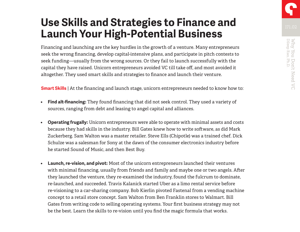### **Use Skills and Strategies to Finance and Launch Your High-Potential Business**

Financing and launching are the key hurdles in the growth of a venture. Many entrepreneurs seek the wrong financing, develop capital-intensive plans, and participate in pitch contests to seek funding—usually from the wrong sources. Or they fail to launch successfully with the capital they have raised. Unicorn entrepreneurs avoided VC till take off, and most avoided it altogether. They used smart skills and strategies to finance and launch their venture.

**Smart Skills** | At the financing and launch stage, unicorn entrepreneurs needed to know how to:

- **• Find alt-financing:** They found financing that did not seek control. They used a variety of sources, ranging from debt and leasing to angel capital and alliances.
- **• Operating frugally:** Unicorn entrepreneurs were able to operate with minimal assets and costs because they had skills in the industry. Bill Gates knew how to write software, as did Mark Zuckerberg. Sam Walton was a master retailer. Steve Ells (Chipotle) was a trained chef. Dick Schulze was a salesman for Sony at the dawn of the consumer electronics industry before he started Sound of Music, and then Best Buy.
- **• Launch, re-vision, and pivot:** Most of the unicorn entrepreneurs launched their ventures with minimal financing, usually from friends and family and maybe one or two angels. After they launched the venture, they re-examined the industry, found the fulcrum to dominate, re-launched, and succeeded. Travis Kalanick started Uber as a limo rental service before re-visioning to a car-sharing company. Bob Kierlin pivoted Fastenal from a vending machine concept to a retail store concept. Sam Walton from Ben Franklin stores to Walmart. Bill Gates from writing code to selling operating systems. Your first business strategy may not be the best. Learn the skills to re-vision until you find the magic formula that works.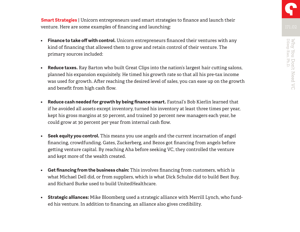**Smart Strategies** | Unicorn entrepreneurs used smart strategies to finance and launch their venture. Here are some examples of financing and launching:

- **• Finance to take off with control.** Unicorn entrepreneurs financed their ventures with any kind of financing that allowed them to grow and retain control of their venture. The primary sources included:
- **• Reduce taxes.** Ray Barton who built Great Clips into the nation's largest hair cutting salons, planned his expansion exquisitely. He timed his growth rate so that all his pre-tax income was used for growth. After reaching the desired level of sales, you can ease up on the growth and benefit from high cash flow.
- **• Reduce cash needed for growth by being finance-smart.** Fastnal's Bob Kierlin learned that if he avoided all assets except inventory, turned his inventory at least three times per year, kept his gross margins at 50 percent, and trained 30 percent new managers each year, he could grow at 30 percent per year from internal cash flow.
- **• Seek equity you control.** This means you use angels and the current incarnation of angel financing, crowdfunding. Gates, Zuckerberg, and Bezos got financing from angels before getting venture capital. By reaching Aha before seeking VC, they controlled the venture and kept more of the wealth created.
- **• Get financing from the business chain:** This involves financing from customers, which is what Michael Dell did, or from suppliers, which is what Dick Schulze did to build Best Buy, and Richard Burke used to build UnitedHealthcare.
- **• Strategic alliances:** Mike Bloomberg used a strategic alliance with Merrill Lynch, who funded his venture. In addition to financing, an alliance also gives credibility.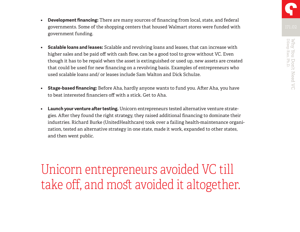- **• Development financing:** There are many sources of financing from local, state, and federal governments. Some of the shopping centers that housed Walmart stores were funded with government funding.
- **• Scalable loans and leases:** Scalable and revolving loans and leases, that can increase with higher sales and be paid off with cash flow, can be a good tool to grow without VC. Even though it has to be repaid when the asset is extinguished or used up, new assets are created that could be used for new financing on a revolving basis. Examples of entrepreneurs who used scalable loans and/ or leases include Sam Walton and Dick Schulze.
- **• Stage-based financing:** Before Aha, hardly anyone wants to fund you. After Aha, you have to beat interested financiers off with a stick. Get to Aha.
- **• Launch your venture after testing.** Unicorn entrepreneurs tested alternative venture strategies. After they found the right strategy, they raised additional financing to dominate their industries. Richard Burke (UnitedHealthcare) took over a failing health-maintenance organization, tested an alternative strategy in one state, made it work, expanded to other states, and then went public.

Unicorn entrepreneurs avoided VC till take off, and most avoided it altogether.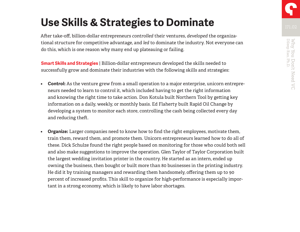After take-off, billion-dollar entrepreneurs *controlled* their ventures, *developed* the organizational structure for competitive advantage, and *led* to dominate the industry. Not everyone can do this, which is one reason why many end up plateauing or failing.

**Smart Skills and Strategies** | Billion-dollar entrepreneurs developed the skills needed to successfully grow and dominate their industries with the following skills and strategies:

- **• Control:** As the venture grew from a small operation to a major enterprise, unicorn entrepreneurs needed to learn to control it, which included having to get the right information and knowing the right time to take action. Don Kotula built Northern Tool by getting key information on a daily, weekly, or monthly basis. Ed Flaherty built Rapid Oil Change by developing a system to monitor each store, controlling the cash being collected every day and reducing theft.
- **• Organize:** Larger companies need to know how to find the right employees, motivate them, train them, reward them, and promote them. Unicorn entrepreneurs learned how to do all of these. Dick Schulze found the right people based on monitoring for those who could both sell and also make suggestions to improve the operation. Glen Taylor of Taylor Corporation built the largest wedding invitation printer in the country. He started as an intern, ended up owning the business, then bought or built more than 80 businesses in the printing industry. He did it by training managers and rewarding them handsomely, offering them up to 90 percent of increased profits. This skill to organize for high-performance is especially important in a strong economy, which is likely to have labor shortages.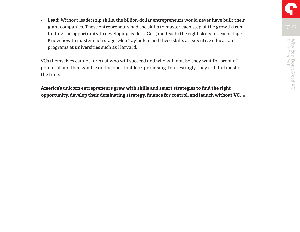**• Lead:** Without leadership skills, the billion-dollar entrepreneurs would never have built their giant companies. These entrepreneurs had the skills to master each step of the growth from finding the opportunity to developing leaders. Get (and teach) the right skills for each stage. Know how to master each stage. Glen Taylor learned these skills at executive education programs at universities such as Harvard.

VCs themselves cannot forecast who will succeed and who will not. So they wait for proof of potential and then gamble on the ones that look promising. Interestingly, they still fail most of the time.

**America's unicorn entrepreneurs grew with skills and smart strategies to find the right opportunity, develop their dominating strategy, finance for control, and launch without VC.**